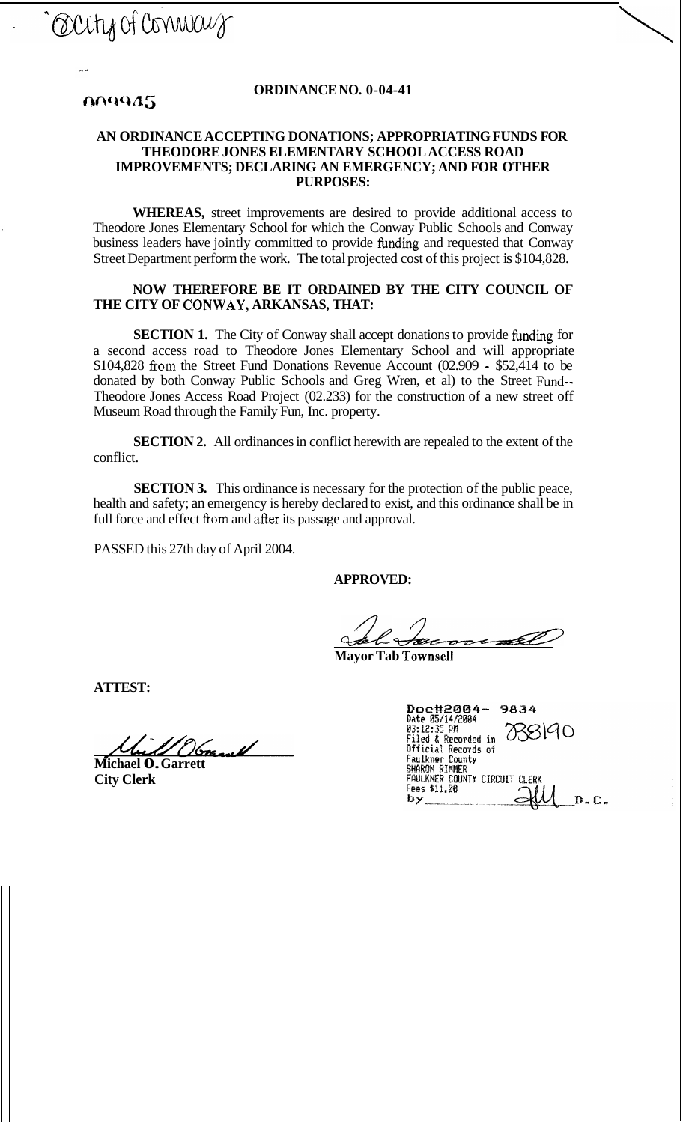Occity of connect

#### **ORDINANCE NO. 0-04-41**

## 009945

### **AN ORDINANCE ACCEPTING DONATIONS; APPROPRIATING FUNDS FOR THEODORE JONES ELEMENTARY SCHOOL ACCESS ROAD IMPROVEMENTS; DECLARING AN EMERGENCY; AND FOR OTHER PURPOSES:**

**WHEREAS,** street improvements are desired to provide additional access to Theodore Jones Elementary School for which the Conway Public Schools and Conway business leaders have jointly committed to provide funding and requested that Conway Street Department perform the work. The total projected cost of this project is \$104,828.

### **NOW THEREFORE BE IT ORDAINED BY THE CITY COUNCIL OF THE CITY OF CONWAY, ARKANSAS, THAT:**

**SECTION 1.** The City of Conway shall accept donations to provide funding for a second access road to Theodore Jones Elementary School and will appropriate \$104,828 fiom the Street Fund Donations Revenue Account (02.909 - \$52,414 to be donated by both Conway Public Schools and Greg Wren, et al) to the Street Fund-- Theodore Jones Access Road Project (02.233) for the construction of a new street off Museum Road through the Family Fun, Inc. property.

**SECTION 2.** All ordinances in conflict herewith are repealed to the extent of the conflict.

**SECTION 3.** This ordinance is necessary for the protection of the public peace, health and safety; an emergency is hereby declared to exist, and this ordinance shall be in full force and effect fiom and after its passage and approval.

PASSED this 27th day of April 2004.

**APPROVED:** 

<u>CD:</u><br>
<del>*Bacece 10*</del>

**Mayor Tab Townsell** 

**ATTEST:** 

 $\overline{\mathcal{M}}$ 

- **Michael 0. Garrett City Clerk** 

| Doc#2004-<br>9834                                     |
|-------------------------------------------------------|
| Date 05/14/2004                                       |
| 8190<br>03:12:35 PM                                   |
| <b>Filed &amp; Recorded in</b><br>Official Records of |
| Faulkner County                                       |
| SHARON RIMMER                                         |
| FAULKNER COUNTY CIRCUIT CLFRK                         |
| Fees \$11.00                                          |
| C.                                                    |
|                                                       |